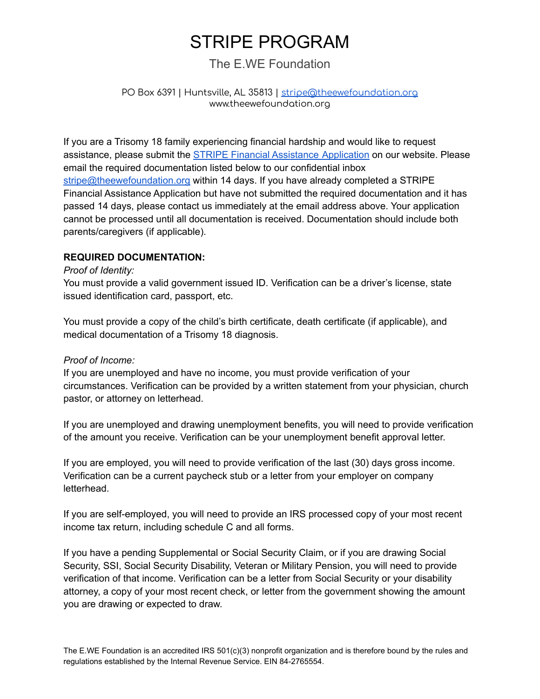# STRIPE PROGRAM

## The E.WE Foundation

### PO Box 6391 | Huntsville, AL 35813 | [stripe@theewefoundation.org](mailto:stripe@theewefoundation.org) www.theewefoundation.org

If you are a Trisomy 18 family experiencing financial hardship and would like to request assistance, please submit the STRIPE Financial Assistance [Application](http://www.theewefoundation.org/stripe) on our website. Please email the required documentation listed below to our confidential inbox [stripe@theewefoundation.org](mailto:stripe@theewefoundation.org) within 14 days. If you have already completed a STRIPE Financial Assistance Application but have not submitted the required documentation and it has passed 14 days, please contact us immediately at the email address above. Your application cannot be processed until all documentation is received. Documentation should include both parents/caregivers (if applicable).

### **REQUIRED DOCUMENTATION:**

#### *Proof of Identity:*

You must provide a valid government issued ID. Verification can be a driver's license, state issued identification card, passport, etc.

You must provide a copy of the child's birth certificate, death certificate (if applicable), and medical documentation of a Trisomy 18 diagnosis.

### *Proof of Income:*

If you are unemployed and have no income, you must provide verification of your circumstances. Verification can be provided by a written statement from your physician, church pastor, or attorney on letterhead.

If you are unemployed and drawing unemployment benefits, you will need to provide verification of the amount you receive. Verification can be your unemployment benefit approval letter.

If you are employed, you will need to provide verification of the last (30) days gross income. Verification can be a current paycheck stub or a letter from your employer on company letterhead.

If you are self-employed, you will need to provide an IRS processed copy of your most recent income tax return, including schedule C and all forms.

If you have a pending Supplemental or Social Security Claim, or if you are drawing Social Security, SSI, Social Security Disability, Veteran or Military Pension, you will need to provide verification of that income. Verification can be a letter from Social Security or your disability attorney, a copy of your most recent check, or letter from the government showing the amount you are drawing or expected to draw.